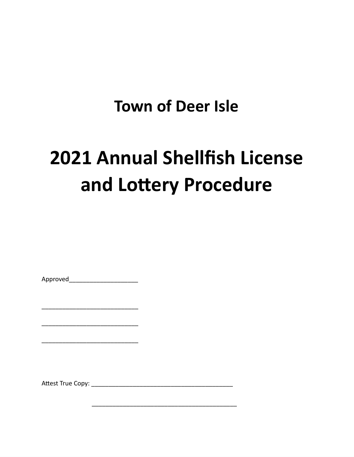# **Town of Deer Isle**

# **2021 Annual Shellfish License** and Lottery Procedure

Approved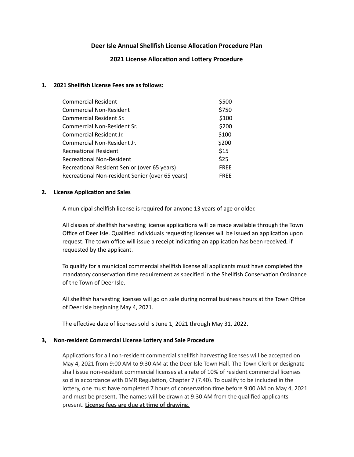# **Deer Isle Annual Shellfish License Allocation Procedure Plan**

# **2021 License Allocation and Lottery Procedure**

#### **1. 2021 Shellfish License Fees are as follows:**

| <b>Commercial Resident</b>                       | \$500       |
|--------------------------------------------------|-------------|
| <b>Commercial Non-Resident</b>                   | \$750       |
| Commercial Resident Sr.                          | \$100       |
| Commercial Non-Resident Sr.                      | \$200       |
| Commercial Resident Jr.                          | \$100       |
| Commercial Non-Resident Jr.                      | \$200       |
| <b>Recreational Resident</b>                     | \$15        |
| <b>Recreational Non-Resident</b>                 | \$25        |
| Recreational Resident Senior (over 65 years)     | <b>FREE</b> |
| Recreational Non-resident Senior (over 65 years) | <b>FRFF</b> |

#### **2. License Application and Sales**

A municipal shellfish license is required for anyone 13 years of age or older.

All classes of shellfish harvesting license applications will be made available through the Town Office of Deer Isle. Qualified individuals requesting licenses will be issued an application upon request. The town office will issue a receipt indicating an application has been received, if requested by the applicant.

To qualify for a municipal commercial shellfish license all applicants must have completed the mandatory conservation time requirement as specified in the Shellfish Conservation Ordinance of the Town of Deer Isle.

All shellfish harvesting licenses will go on sale during normal business hours at the Town Office of Deer Isle beginning May 4, 2021.

The effective date of licenses sold is June 1, 2021 through May 31, 2022.

# **<u>3. Non-resident Commercial License Lottery and Sale Procedure</u>**

Applications for all non-resident commercial shellfish harvesting licenses will be accepted on May 4, 2021 from 9:00 AM to 9:30 AM at the Deer Isle Town Hall. The Town Clerk or designate shall issue non-resident commercial licenses at a rate of 10% of resident commercial licenses sold in accordance with DMR Regulation, Chapter 7 (7.40). To qualify to be included in the lottery, one must have completed 7 hours of conservation time before 9:00 AM on May 4, 2021 and must be present. The names will be drawn at 9:30 AM from the qualified applicants present. **License fees are due at me of drawing**.